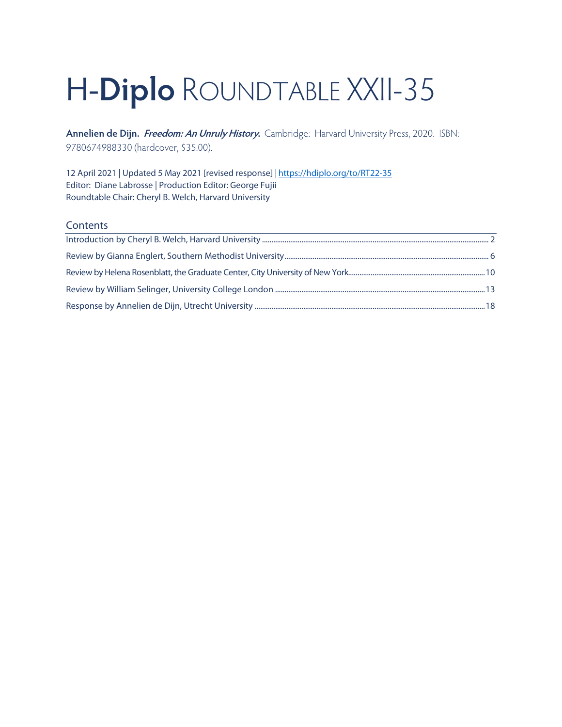# H-**Diplo** ROUNDTABLE XXII-35

**Annelien de Dijn. Freedom: An Unruly History.** Cambridge: Harvard University Press, 2020. ISBN: 9780674988330 (hardcover, \$35.00).

12 April 2021 | Updated 5 May 2021 [revised response] *|* <https://hdiplo.org/to/RT22-35> Editor: Diane Labrosse | Production Editor: George Fujii Roundtable Chair: Cheryl B. Welch, Harvard University

#### **Contents**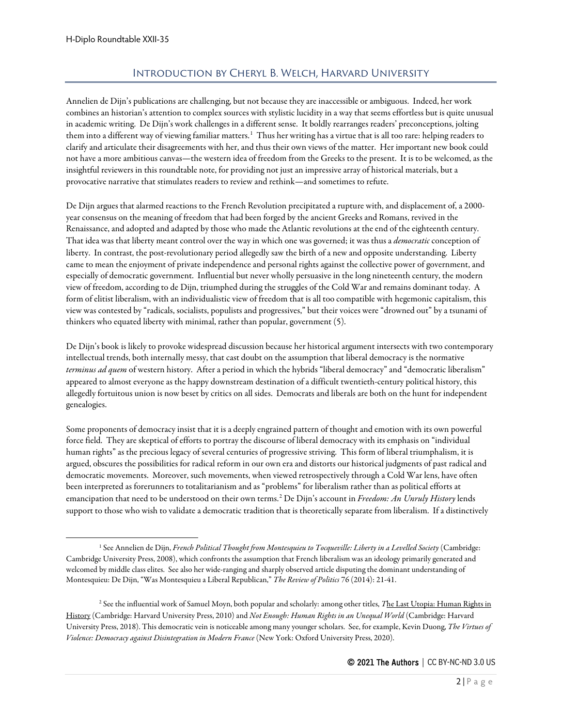# Introduction by Cheryl B. Welch, Harvard University

<span id="page-1-0"></span>Annelien de Dijn's publications are challenging, but not because they are inaccessible or ambiguous. Indeed, her work combines an historian's attention to complex sources with stylistic lucidity in a way that seems effortless but is quite unusual in academic writing. De Dijn's work challenges in a different sense. It boldly rearranges readers' preconceptions, jolting them into a different way of viewing familiar matters.<sup>[1](#page-1-1)</sup> Thus her writing has a virtue that is all too rare: helping readers to clarify and articulate their disagreements with her, and thus their own views of the matter. Her important new book could not have a more ambitious canvas—the western idea of freedom from the Greeks to the present. It is to be welcomed, as the insightful reviewers in this roundtable note, for providing not just an impressive array of historical materials, but a provocative narrative that stimulates readers to review and rethink—and sometimes to refute.

De Dijn argues that alarmed reactions to the French Revolution precipitated a rupture with, and displacement of, a 2000 year consensus on the meaning of freedom that had been forged by the ancient Greeks and Romans, revived in the Renaissance, and adopted and adapted by those who made the Atlantic revolutions at the end of the eighteenth century. That idea was that liberty meant control over the way in which one was governed; it was thus a *democratic* conception of liberty. In contrast, the post-revolutionary period allegedly saw the birth of a new and opposite understanding. Liberty came to mean the enjoyment of private independence and personal rights against the collective power of government, and especially of democratic government. Influential but never wholly persuasive in the long nineteenth century, the modern view of freedom, according to de Dijn, triumphed during the struggles of the Cold War and remains dominant today. A form of elitist liberalism, with an individualistic view of freedom that is all too compatible with hegemonic capitalism, this view was contested by "radicals, socialists, populists and progressives," but their voices were "drowned out" by a tsunami of thinkers who equated liberty with minimal, rather than popular, government (5).

De Dijn's book is likely to provoke widespread discussion because her historical argument intersects with two contemporary intellectual trends, both internally messy, that cast doubt on the assumption that liberal democracy is the normative *terminus ad quem* of western history. After a period in which the hybrids "liberal democracy" and "democratic liberalism" appeared to almost everyone as the happy downstream destination of a difficult twentieth-century political history, this allegedly fortuitous union is now beset by critics on all sides. Democrats and liberals are both on the hunt for independent genealogies.

Some proponents of democracy insist that it is a deeply engrained pattern of thought and emotion with its own powerful force field. They are skeptical of efforts to portray the discourse of liberal democracy with its emphasis on "individual human rights" as the precious legacy of several centuries of progressive striving. This form of liberal triumphalism, it is argued, obscures the possibilities for radical reform in our own era and distorts our historical judgments of past radical and democratic movements. Moreover, such movements, when viewed retrospectively through a Cold War lens, have often been interpreted as forerunners to totalitarianism and as "problems" for liberalism rather than as political efforts at emancipation that need to be understood on their own terms.[2](#page-1-2) De Dijn's account in *Freedom: An Unruly History* lends support to those who wish to validate a democratic tradition that is theoretically separate from liberalism. If a distinctively

<span id="page-1-1"></span><sup>&</sup>lt;sup>1</sup> See Annelien de Dijn, *French Political Thought from Montesquieu to Tocqueville: Liberty in a Levelled Society* (Cambridge: Cambridge University Press, 2008), which confronts the assumption that French liberalism was an ideology primarily generated and welcomed by middle class elites. See also her wide-ranging and sharply observed article disputing the dominant understanding of Montesquieu: De Dijn, "Was Montesquieu a Liberal Republican," *The Review of Politics* 76 (2014): 21-41.

<span id="page-1-2"></span><sup>2</sup> See the influential work of Samuel Moyn, both popular and scholarly: among other titles, *T*[he Last Utopia: Human Rights in](http://www.amazon.com/Last-Utopia-Human-Rights-History/dp/0674064348)  [History](http://www.amazon.com/Last-Utopia-Human-Rights-History/dp/0674064348) (Cambridge: Harvard University Press, 2010) and *[Not Enough: Human Rights in an Unequal World](https://www.amazon.com/gp/product/0674737563)* (Cambridge: Harvard University Press, 2018). This democratic vein is noticeable among many younger scholars. See, for example, Kevin Duong, *The Virtues of Violence: Democracy against Disintegration in Modern France* (New York: Oxford University Press, 2020).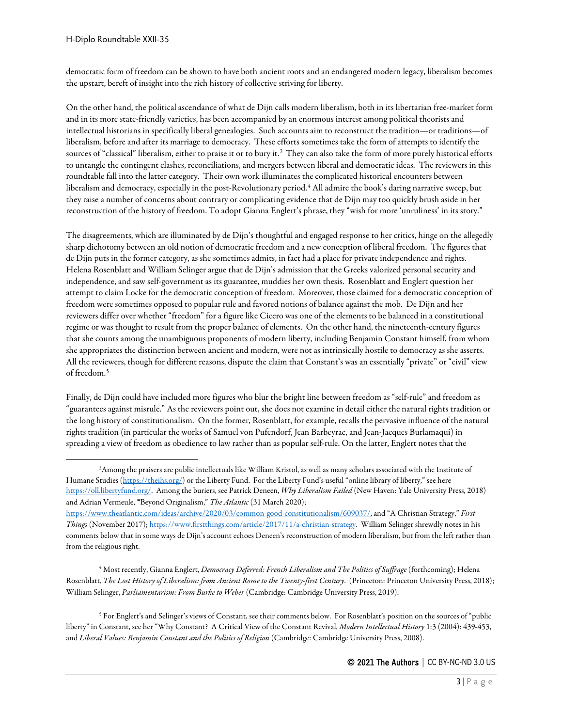democratic form of freedom can be shown to have both ancient roots and an endangered modern legacy, liberalism becomes the upstart, bereft of insight into the rich history of collective striving for liberty.

On the other hand, the political ascendance of what de Dijn calls modern liberalism, both in its libertarian free-market form and in its more state-friendly varieties, has been accompanied by an enormous interest among political theorists and intellectual historians in specifically liberal genealogies. Such accounts aim to reconstruct the tradition—or traditions—of liberalism, before and after its marriage to democracy. These efforts sometimes take the form of attempts to identify the sources of "classical" liberalism, either to praise it or to bury it. $^3$  $^3$  They can also take the form of more purely historical efforts to untangle the contingent clashes, reconciliations, and mergers between liberal and democratic ideas. The reviewers in this roundtable fall into the latter category. Their own work illuminates the complicated historical encounters between liberalism and democracy, especially in the post-Revolutionary period.<sup>[4](#page-2-1)</sup> All admire the book's daring narrative sweep, but they raise a number of concerns about contrary or complicating evidence that de Dijn may too quickly brush aside in her reconstruction of the history of freedom. To adopt Gianna Englert's phrase, they "wish for more 'unruliness' in its story."

The disagreements, which are illuminated by de Dijn's thoughtful and engaged response to her critics, hinge on the allegedly sharp dichotomy between an old notion of democratic freedom and a new conception of liberal freedom. The figures that de Dijn puts in the former category, as she sometimes admits, in fact had a place for private independence and rights. Helena Rosenblatt and William Selinger argue that de Dijn's admission that the Greeks valorized personal security and independence, and saw self-government as its guarantee, muddies her own thesis. Rosenblatt and Englert question her attempt to claim Locke for the democratic conception of freedom. Moreover, those claimed for a democratic conception of freedom were sometimes opposed to popular rule and favored notions of balance against the mob. De Dijn and her reviewers differ over whether "freedom" for a figure like Cicero was one of the elements to be balanced in a constitutional regime or was thought to result from the proper balance of elements. On the other hand, the nineteenth-century figures that she counts among the unambiguous proponents of modern liberty, including Benjamin Constant himself, from whom she appropriates the distinction between ancient and modern, were not as intrinsically hostile to democracy as she asserts. All the reviewers, though for different reasons, dispute the claim that Constant's was an essentially "private" or "civil" view of freedom.<sup>[5](#page-2-2)</sup>

Finally, de Dijn could have included more figures who blur the bright line between freedom as "self-rule" and freedom as "guarantees against misrule." As the reviewers point out, she does not examine in detail either the natural rights tradition or the long history of constitutionalism. On the former, Rosenblatt, for example, recalls the pervasive influence of the natural rights tradition (in particular the works of Samuel von Pufendorf, Jean Barbeyrac, and Jean-Jacques Burlamaqui) in spreading a view of freedom as obedience to law rather than as popular self-rule. On the latter, Englert notes that the

<span id="page-2-1"></span><sup>4</sup> Most recently, Gianna Englert, *Democracy Deferred: French Liberalism and The Politics of Suffrage* (forthcoming); Helena Rosenblatt, *The Lost History of Liberalism: from Ancient Rome to the Twenty-first Century*. (Princeton: Princeton University Press, 2018); William Selinger, *Parliamentarism: From Burke to Weber* (Cambridge: Cambridge University Press, 2019).

<span id="page-2-2"></span><sup>5</sup> For Englert's and Selinger's views of Constant, see their comments below. For Rosenblatt's position on the sources of "public liberty" in Constant, see her "Why Constant? A Critical View of the Constant Revival, *Modern Intellectual History* 1:3 (2004): 439-453, and *Liberal Values: Benjamin Constant and the Politics of Religion* (Cambridge: Cambridge University Press, 2008).

<span id="page-2-0"></span><sup>3</sup> Among the praisers are public intellectuals like William Kristol, as well as many scholars associated with the Institute of Humane Studies [\(https://theihs.org/\)](https://theihs.org/) or the Liberty Fund. For the Liberty Fund's useful "online library of liberty," see here [https://oll.libertyfund.org/.](https://oll.libertyfund.org/) Among the buriers, see Patrick Deneen, *Why Liberalism Failed* (New Haven: Yale University Press, 2018) and Adrian Vermeule, "Beyond Originalism," *The Atlantic* (31 March 2020);

[https://www.theatlantic.com/ideas/archive/2020/03/common-good-constitutionalism/609037/,](https://www.theatlantic.com/ideas/archive/2020/03/common-good-constitutionalism/609037/) and "A Christian Strategy," *First Things* (November 2017)[; https://www.firstthings.com/article/2017/11/a-christian-strategy.](https://www.firstthings.com/article/2017/11/a-christian-strategy) William Selinger shrewdly notes in his comments below that in some ways de Dijn's account echoes Deneen's reconstruction of modern liberalism, but from the left rather than from the religious right.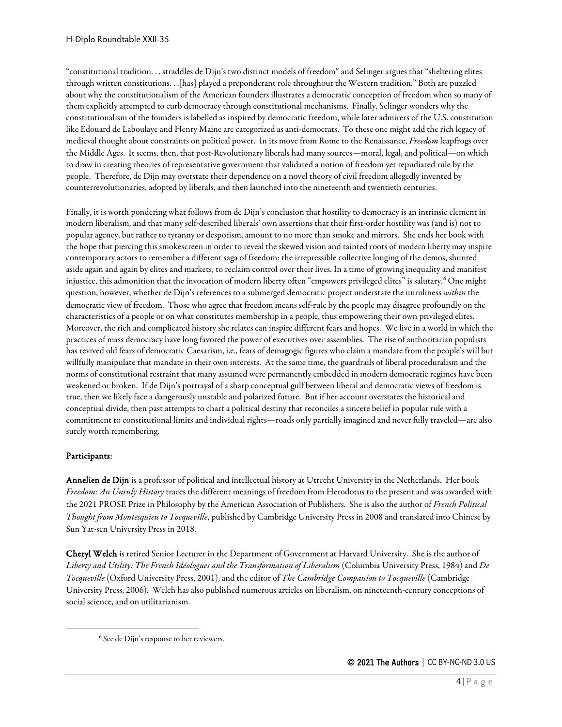"constitutional tradition. . . straddles de Dijn's two distinct models of freedom" and Selinger argues that "sheltering elites through written constitutions. . .[has] played a preponderant role throughout the Western tradition." Both are puzzled about why the constitutionalism of the American founders illustrates a democratic conception of freedom when so many of them explicitly attempted to curb democracy through constitutional mechanisms. Finally, Selinger wonders why the constitutionalism of the founders is labelled as inspired by democratic freedom, while later admirers of the U.S. constitution like Edouard de Laboulaye and Henry Maine are categorized as anti-democrats. To these one might add the rich legacy of medieval thought about constraints on political power. In its move from Rome to the Renaissance, *Freedom* leapfrogs over the Middle Ages. It seems, then, that post-Revolutionary liberals had many sources—moral, legal, and political—on which to draw in creating theories of representative government that validated a notion of freedom yet repudiated rule by the people. Therefore, de Dijn may overstate their dependence on a novel theory of civil freedom allegedly invented by counterrevolutionaries, adopted by liberals, and then launched into the nineteenth and twentieth centuries.

Finally, it is worth pondering what follows from de Dijn's conclusion that hostility to democracy is an intrinsic element in modern liberalism, and that many self-described liberals' own assertions that their first-order hostility was (and is) not to popular agency, but rather to tyranny or despotism, amount to no more than smoke and mirrors. She ends her book with the hope that piercing this smokescreen in order to reveal the skewed vision and tainted roots of modern liberty may inspire contemporary actors to remember a different saga of freedom: the irrepressible collective longing of the demos, shunted aside again and again by elites and markets, to reclaim control over their lives. In a time of growing inequality and manifest injustice, this admonition that the invocation of modern liberty often "empowers privileged elites" is salutary.<sup>[6](#page-3-0)</sup> One might question, however, whether de Dijn's references to a submerged democratic project understate the unruliness *within* the democratic view of freedom. Those who agree that freedom means self-rule by the people may disagree profoundly on the characteristics of a people or on what constitutes membership in a people, thus empowering their own privileged elites. Moreover, the rich and complicated history she relates can inspire different fears and hopes. We live in a world in which the practices of mass democracy have long favored the power of executives over assemblies. The rise of authoritarian populists has revived old fears of democratic Caesarism, i.e., fears of demagogic figures who claim a mandate from the people's will but willfully manipulate that mandate in their own interests. At the same time, the guardrails of liberal proceduralism and the norms of constitutional restraint that many assumed were permanently embedded in modern democratic regimes have been weakened or broken. If de Dijn's portrayal of a sharp conceptual gulf between liberal and democratic views of freedom is true, then we likely face a dangerously unstable and polarized future. But if her account overstates the historical and conceptual divide, then past attempts to chart a political destiny that reconciles a sincere belief in popular rule with a commitment to constitutional limits and individual rights—roads only partially imagined and never fully traveled—are also surely worth remembering.

#### Participants:

Annelien de Dijn is a professor of political and intellectual history at Utrecht University in the Netherlands. Her book *Freedom: An Unruly History* traces the different meanings of freedom from Herodotus to the present and was awarded with the 2021 PROSE Prize in Philosophy by the American Association of Publishers. She is also the author of *French Political Thought from Montesquieu to Tocqueville*, published by Cambridge University Press in 2008 and translated into Chinese by Sun Yat-sen University Press in 2018.

Cheryl Welch is retired Senior Lecturer in the Department of Government at Harvard University. She is the author of *Liberty and Utility: The French Idéologues and the Transformation of Liberalism* (Columbia University Press, 1984) and *De Tocqueville* (Oxford University Press, 2001), and the editor of *The Cambridge Companion to Tocqueville* (Cambridge University Press, 2006). Welch has also published numerous articles on liberalism, on nineteenth-century conceptions of social science, and on utilitarianism.

<span id="page-3-0"></span><sup>6</sup> See de Dijn's response to her reviewers.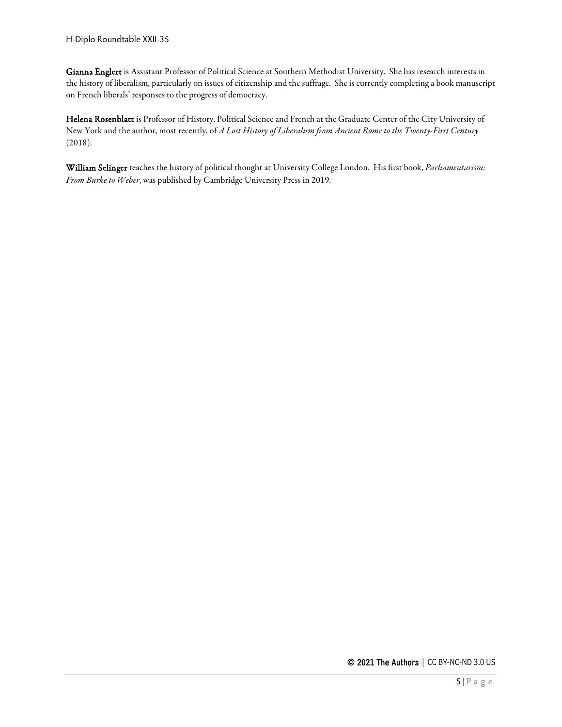Gianna Englert is Assistant Professor of Political Science at Southern Methodist University. She has research interests in the history of liberalism, particularly on issues of citizenship and the suffrage. She is currently completing a book manuscript on French liberals' responses to the progress of democracy.

Helena Rosenblatt is Professor of History, Political Science and French at the Graduate Center of the City University of New York and the author, most recently, of *A Lost History of Liberalism from Ancient Rome to the Twenty-First Century* (2018).

William Selinger teaches the history of political thought at University College London. His first book, *Parliamentarism: From Burke to Weber*, was published by Cambridge University Press in 2019.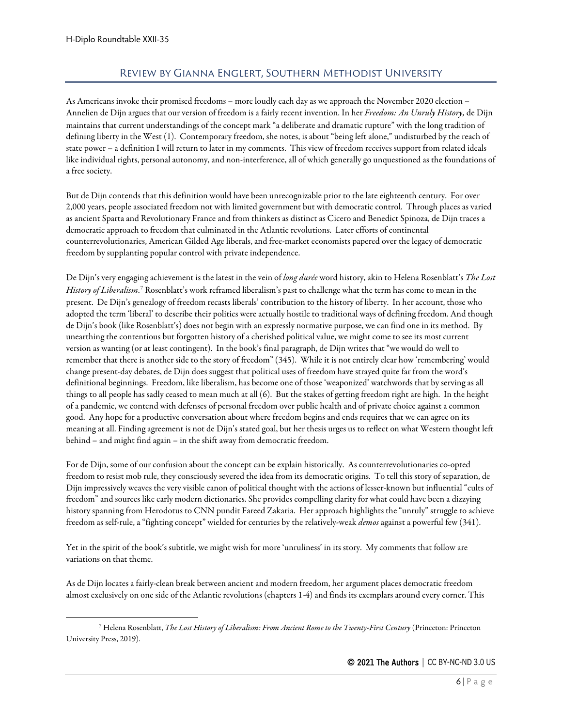## Review by Gianna Englert, Southern Methodist University

<span id="page-5-0"></span>As Americans invoke their promised freedoms – more loudly each day as we approach the November 2020 election – Annelien de Dijn argues that our version of freedom is a fairly recent invention. In her *Freedom: An Unruly History,* de Dijn maintains that current understandings of the concept mark "a deliberate and dramatic rupture" with the long tradition of defining liberty in the West (1). Contemporary freedom, she notes, is about "being left alone," undisturbed by the reach of state power – a definition I will return to later in my comments. This view of freedom receives support from related ideals like individual rights, personal autonomy, and non-interference, all of which generally go unquestioned as the foundations of a free society.

But de Dijn contends that this definition would have been unrecognizable prior to the late eighteenth century. For over 2,000 years, people associated freedom not with limited government but with democratic control. Through places as varied as ancient Sparta and Revolutionary France and from thinkers as distinct as Cicero and Benedict Spinoza, de Dijn traces a democratic approach to freedom that culminated in the Atlantic revolutions. Later efforts of continental counterrevolutionaries, American Gilded Age liberals, and free-market economists papered over the legacy of democratic freedom by supplanting popular control with private independence.

De Dijn's very engaging achievement is the latest in the vein of *long durée* word history, akin to Helena Rosenblatt's *The Lost History of Liberalism*. [7](#page-5-1) Rosenblatt's work reframed liberalism's past to challenge what the term has come to mean in the present. De Dijn's genealogy of freedom recasts liberals' contribution to the history of liberty. In her account, those who adopted the term 'liberal' to describe their politics were actually hostile to traditional ways of defining freedom. And though de Dijn's book (like Rosenblatt's) does not begin with an expressly normative purpose, we can find one in its method. By unearthing the contentious but forgotten history of a cherished political value, we might come to see its most current version as wanting (or at least contingent). In the book's final paragraph, de Dijn writes that "we would do well to remember that there is another side to the story of freedom" (345). While it is not entirely clear how 'remembering' would change present-day debates, de Dijn does suggest that political uses of freedom have strayed quite far from the word's definitional beginnings. Freedom, like liberalism, has become one of those 'weaponized' watchwords that by serving as all things to all people has sadly ceased to mean much at all (6). But the stakes of getting freedom right are high. In the height of a pandemic, we contend with defenses of personal freedom over public health and of private choice against a common good. Any hope for a productive conversation about where freedom begins and ends requires that we can agree on its meaning at all. Finding agreement is not de Dijn's stated goal, but her thesis urges us to reflect on what Western thought left behind – and might find again – in the shift away from democratic freedom.

For de Dijn, some of our confusion about the concept can be explain historically. As counterrevolutionaries co-opted freedom to resist mob rule, they consciously severed the idea from its democratic origins. To tell this story of separation, de Dijn impressively weaves the very visible canon of political thought with the actions of lesser-known but influential "cults of freedom" and sources like early modern dictionaries. She provides compelling clarity for what could have been a dizzying history spanning from Herodotus to CNN pundit Fareed Zakaria. Her approach highlights the "unruly" struggle to achieve freedom as self-rule, a "fighting concept" wielded for centuries by the relatively-weak *demos* against a powerful few (341).

Yet in the spirit of the book's subtitle, we might wish for more 'unruliness' in its story. My comments that follow are variations on that theme.

As de Dijn locates a fairly-clean break between ancient and modern freedom, her argument places democratic freedom almost exclusively on one side of the Atlantic revolutions (chapters 1-4) and finds its exemplars around every corner. This

<span id="page-5-1"></span><sup>7</sup> Helena Rosenblatt, *The Lost History of Liberalism: From Ancient Rome to the Twenty-First Century* (Princeton: Princeton University Press, 2019).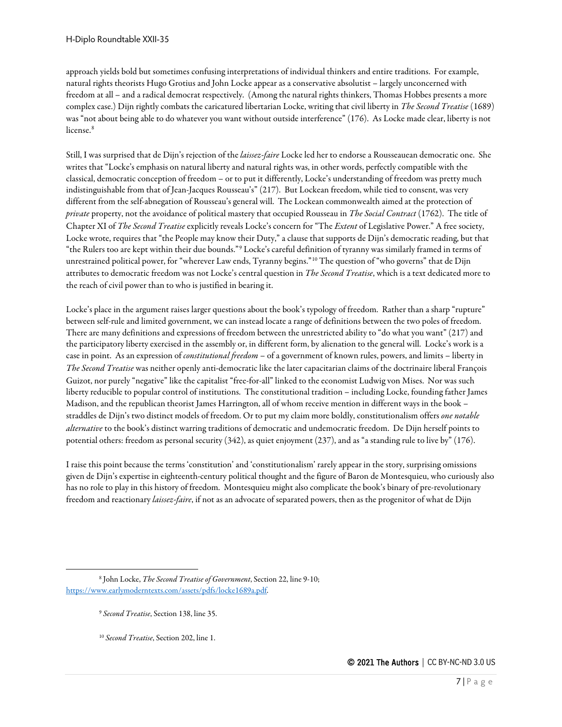approach yields bold but sometimes confusing interpretations of individual thinkers and entire traditions. For example, natural rights theorists Hugo Grotius and John Locke appear as a conservative absolutist – largely unconcerned with freedom at all – and a radical democrat respectively. (Among the natural rights thinkers, Thomas Hobbes presents a more complex case.) Dijn rightly combats the caricatured libertarian Locke, writing that civil liberty in *The Second Treatise* (1689) was "not about being able to do whatever you want without outside interference" (176). As Locke made clear, liberty is not license.<sup>[8](#page-6-0)</sup>

Still, I was surprised that de Dijn's rejection of the *laissez-faire* Locke led her to endorse a Rousseauean democratic one. She writes that "Locke's emphasis on natural liberty and natural rights was, in other words, perfectly compatible with the classical, democratic conception of freedom – or to put it differently, Locke's understanding of freedom was pretty much indistinguishable from that of Jean-Jacques Rousseau's" (217). But Lockean freedom, while tied to consent, was very different from the self-abnegation of Rousseau's general will. The Lockean commonwealth aimed at the protection of *private* property, not the avoidance of political mastery that occupied Rousseau in *The Social Contract* (1762). The title of Chapter XI of *The Second Treatise* explicitly reveals Locke's concern for "The *Extent* of Legislative Power." A free society, Locke wrote, requires that "the People may know their Duty," a clause that supports de Dijn's democratic reading, but that "the Rulers too are kept within their due bounds."[9](#page-6-1) Locke's careful definition of tyranny was similarly framed in terms of unrestrained political power, for "wherever Law ends, Tyranny begins."[10](#page-6-2) The question of "who governs" that de Dijn attributes to democratic freedom was not Locke's central question in *The Second Treatise*, which is a text dedicated more to the reach of civil power than to who is justified in bearing it.

Locke's place in the argument raises larger questions about the book's typology of freedom. Rather than a sharp "rupture" between self-rule and limited government, we can instead locate a range of definitions between the two poles of freedom. There are many definitions and expressions of freedom between the unrestricted ability to "do what you want" (217) and the participatory liberty exercised in the assembly or, in different form, by alienation to the general will. Locke's work is a case in point. As an expression of *constitutional freedom* – of a government of known rules, powers, and limits – liberty in *The Second Treatise* was neither openly anti-democratic like the later capacitarian claims of the doctrinaire liberal François Guizot, nor purely "negative" like the capitalist "free-for-all" linked to the economist Ludwig von Mises. Nor was such liberty reducible to popular control of institutions. The constitutional tradition – including Locke, founding father James Madison, and the republican theorist James Harrington, all of whom receive mention in different ways in the book – straddles de Dijn's two distinct models of freedom. Or to put my claim more boldly, constitutionalism offers *one notable alternative* to the book's distinct warring traditions of democratic and undemocratic freedom. De Dijn herself points to potential others: freedom as personal security (342), as quiet enjoyment (237), and as "a standing rule to live by" (176).

I raise this point because the terms 'constitution' and 'constitutionalism' rarely appear in the story, surprising omissions given de Dijn's expertise in eighteenth-century political thought and the figure of Baron de Montesquieu, who curiously also has no role to play in this history of freedom. Montesquieu might also complicate the book's binary of pre-revolutionary freedom and reactionary *laissez-faire*, if not as an advocate of separated powers, then as the progenitor of what de Dijn

<span id="page-6-2"></span><span id="page-6-1"></span><span id="page-6-0"></span><sup>8</sup> John Locke, *The Second Treatise of Government*, Section 22, line 9-10; [https://www.earlymoderntexts.com/assets/pdfs/locke1689a.pdf.](https://www.earlymoderntexts.com/assets/pdfs/locke1689a.pdf)

<sup>9</sup> *Second Treatise*, Section 138, line 35.

<sup>10</sup> *Second Treatise*, Section 202, line 1.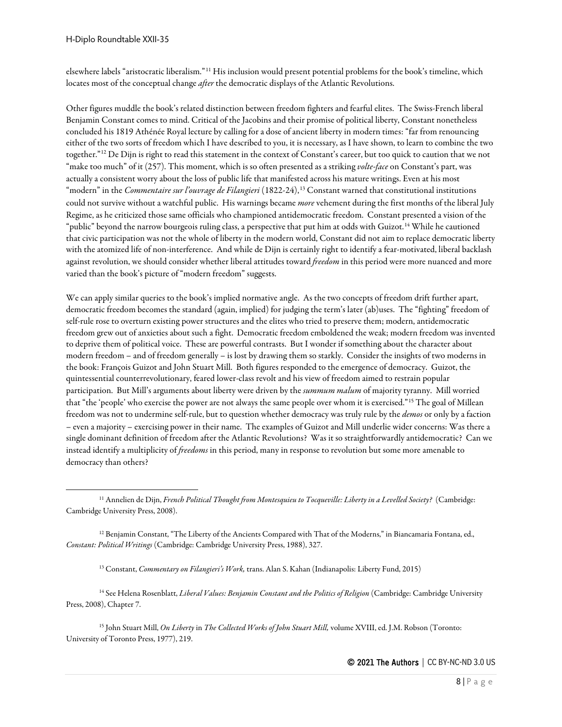elsewhere labels "aristocratic liberalism."[11](#page-7-0) His inclusion would present potential problems for the book's timeline, which locates most of the conceptual change *after* the democratic displays of the Atlantic Revolutions.

Other figures muddle the book's related distinction between freedom fighters and fearful elites. The Swiss-French liberal Benjamin Constant comes to mind. Critical of the Jacobins and their promise of political liberty, Constant nonetheless concluded his 1819 Athénée Royal lecture by calling for a dose of ancient liberty in modern times: "far from renouncing either of the two sorts of freedom which I have described to you, it is necessary, as I have shown, to learn to combine the two together."[12](#page-7-1) De Dijn is right to read this statement in the context of Constant's career, but too quick to caution that we not "make too much" of it (257). This moment, which is so often presented as a striking *volte-face* on Constant's part, was actually a consistent worry about the loss of public life that manifested across his mature writings. Even at his most "modern" in the *Commentaire sur l'ouvrage de Filangieri* (1822-24),<sup>[13](#page-7-2)</sup> Constant warned that constitutional institutions could not survive without a watchful public. His warnings became *more* vehement during the first months of the liberal July Regime, as he criticized those same officials who championed antidemocratic freedom. Constant presented a vision of the "public" beyond the narrow bourgeois ruling class, a perspective that put him at odds with Guizot.<sup>[14](#page-7-3)</sup> While he cautioned that civic participation was not the whole of liberty in the modern world, Constant did not aim to replace democratic liberty with the atomized life of non-interference. And while de Dijn is certainly right to identify a fear-motivated, liberal backlash against revolution, we should consider whether liberal attitudes toward *freedom* in this period were more nuanced and more varied than the book's picture of "modern freedom" suggests.

We can apply similar queries to the book's implied normative angle. As the two concepts of freedom drift further apart, democratic freedom becomes the standard (again, implied) for judging the term's later (ab)uses. The "fighting" freedom of self-rule rose to overturn existing power structures and the elites who tried to preserve them; modern, antidemocratic freedom grew out of anxieties about such a fight. Democratic freedom emboldened the weak; modern freedom was invented to deprive them of political voice. These are powerful contrasts. But I wonder if something about the character about modern freedom – and of freedom generally – is lost by drawing them so starkly. Consider the insights of two moderns in the book: François Guizot and John Stuart Mill. Both figures responded to the emergence of democracy. Guizot, the quintessential counterrevolutionary, feared lower-class revolt and his view of freedom aimed to restrain popular participation. But Mill's arguments about liberty were driven by the *summum malum* of majority tyranny. Mill worried that "the 'people' who exercise the power are not always the same people over whom it is exercised."[15](#page-7-4) The goal of Millean freedom was not to undermine self-rule, but to question whether democracy was truly rule by the *demos* or only by a faction – even a majority – exercising power in their name. The examples of Guizot and Mill underlie wider concerns: Was there a single dominant definition of freedom after the Atlantic Revolutions? Was it so straightforwardly antidemocratic? Can we instead identify a multiplicity of *freedoms* in this period, many in response to revolution but some more amenable to democracy than others?

<sup>13</sup> Constant, *Commentary on Filangieri's Work,* trans. Alan S. Kahan (Indianapolis: Liberty Fund, 2015)

<span id="page-7-3"></span><span id="page-7-2"></span><sup>14</sup> See Helena Rosenblatt, *Liberal Values: Benjamin Constant and the Politics of Religion* (Cambridge: Cambridge University Press, 2008), Chapter 7.

<span id="page-7-4"></span><sup>15</sup> John Stuart Mill, *On Liberty* in *The Collected Works of John Stuart Mill,* volume XVIII, ed. J.M. Robson (Toronto: University of Toronto Press, 1977), 219.

<span id="page-7-0"></span><sup>11</sup> Annelien de Dijn, *French Political Thought from Montesquieu to Tocqueville: Liberty in a Levelled Society?* (Cambridge: Cambridge University Press, 2008).

<span id="page-7-1"></span><sup>&</sup>lt;sup>12</sup> Benjamin Constant, "The Liberty of the Ancients Compared with That of the Moderns," in Biancamaria Fontana, ed., *Constant: Political Writings* (Cambridge: Cambridge University Press, 1988), 327.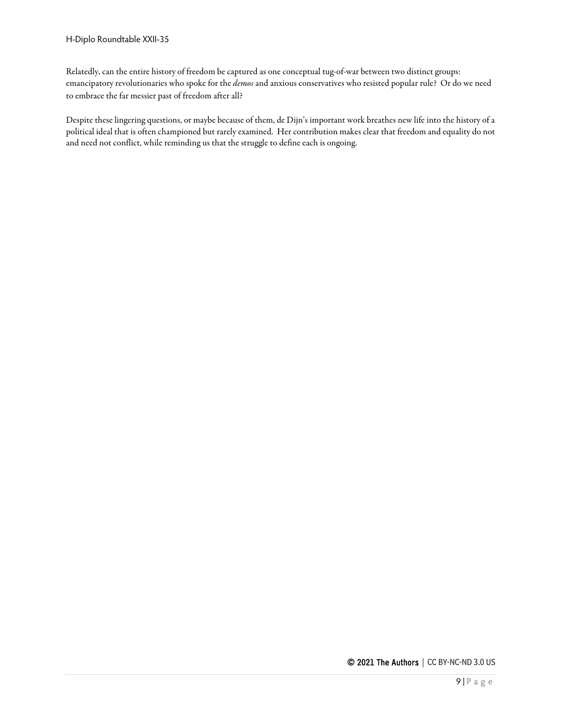Relatedly, can the entire history of freedom be captured as one conceptual tug-of-war between two distinct groups: emancipatory revolutionaries who spoke for the *demos* and anxious conservatives who resisted popular rule? Or do we need to embrace the far messier past of freedom after all?

Despite these lingering questions, or maybe because of them, de Dijn's important work breathes new life into the history of a political ideal that is often championed but rarely examined. Her contribution makes clear that freedom and equality do not and need not conflict, while reminding us that the struggle to define each is ongoing.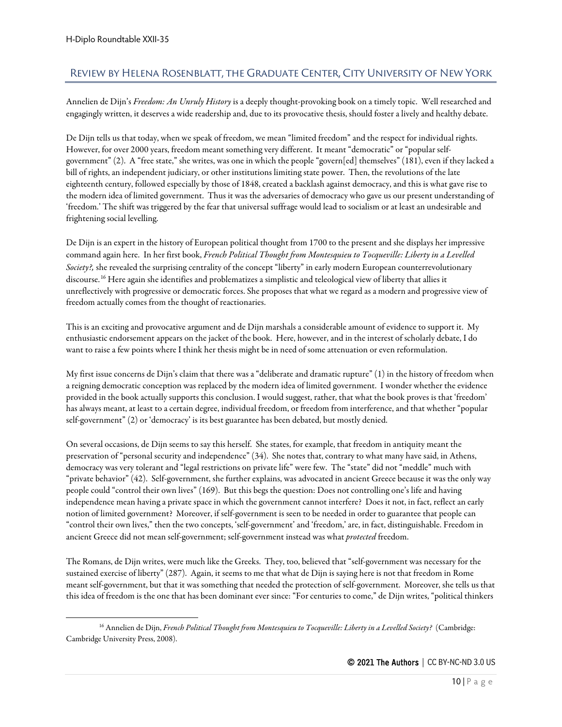# <span id="page-9-0"></span>Review by Helena Rosenblatt, the Graduate Center, City University of New York

Annelien de Dijn's *Freedom: An Unruly History* is a deeply thought-provoking book on a timely topic. Well researched and engagingly written, it deserves a wide readership and, due to its provocative thesis, should foster a lively and healthy debate.

De Dijn tells us that today, when we speak of freedom, we mean "limited freedom" and the respect for individual rights. However, for over 2000 years, freedom meant something very different. It meant "democratic" or "popular selfgovernment" (2). A "free state," she writes, was one in which the people "govern[ed] themselves" (181), even if they lacked a bill of rights, an independent judiciary, or other institutions limiting state power. Then, the revolutions of the late eighteenth century, followed especially by those of 1848, created a backlash against democracy, and this is what gave rise to the modern idea of limited government. Thus it was the adversaries of democracy who gave us our present understanding of 'freedom.' The shift was triggered by the fear that universal suffrage would lead to socialism or at least an undesirable and frightening social levelling.

De Dijn is an expert in the history of European political thought from 1700 to the present and she displays her impressive command again here. In her first book, *French Political Thought from Montesquieu to Tocqueville: Liberty in a Levelled Society?,* she revealed the surprising centrality of the concept "liberty" in early modern European counterrevolutionary discourse.[16](#page-9-1) Here again she identifies and problematizes a simplistic and teleological view of liberty that allies it unreflectively with progressive or democratic forces. She proposes that what we regard as a modern and progressive view of freedom actually comes from the thought of reactionaries.

This is an exciting and provocative argument and de Dijn marshals a considerable amount of evidence to support it. My enthusiastic endorsement appears on the jacket of the book. Here, however, and in the interest of scholarly debate, I do want to raise a few points where I think her thesis might be in need of some attenuation or even reformulation.

My first issue concerns de Dijn's claim that there was a "deliberate and dramatic rupture" (1) in the history of freedom when a reigning democratic conception was replaced by the modern idea of limited government. I wonder whether the evidence provided in the book actually supports this conclusion. I would suggest, rather, that what the book proves is that 'freedom' has always meant, at least to a certain degree, individual freedom, or freedom from interference, and that whether "popular self-government" (2) or 'democracy' is its best guarantee has been debated, but mostly denied.

On several occasions, de Dijn seems to say this herself. She states, for example, that freedom in antiquity meant the preservation of "personal security and independence" (34). She notes that, contrary to what many have said, in Athens, democracy was very tolerant and "legal restrictions on private life" were few. The "state" did not "meddle" much with "private behavior" (42). Self-government, she further explains, was advocated in ancient Greece because it was the only way people could "control their own lives" (169). But this begs the question: Does not controlling one's life and having independence mean having a private space in which the government cannot interfere? Does it not, in fact, reflect an early notion of limited government? Moreover, if self-government is seen to be needed in order to guarantee that people can "control their own lives," then the two concepts, 'self-government' and 'freedom,' are, in fact, distinguishable. Freedom in ancient Greece did not mean self-government; self-government instead was what *protected* freedom.

The Romans, de Dijn writes, were much like the Greeks. They, too, believed that "self-government was necessary for the sustained exercise of liberty" (287). Again, it seems to me that what de Dijn is saying here is not that freedom in Rome meant self-government, but that it was something that needed the protection of self-government. Moreover, she tells us that this idea of freedom is the one that has been dominant ever since: "For centuries to come," de Dijn writes, "political thinkers

<span id="page-9-1"></span><sup>16</sup> Annelien de Dijn, *French Political Thought from Montesquieu to Tocqueville: Liberty in a Levelled Society?* (Cambridge: Cambridge University Press, 2008).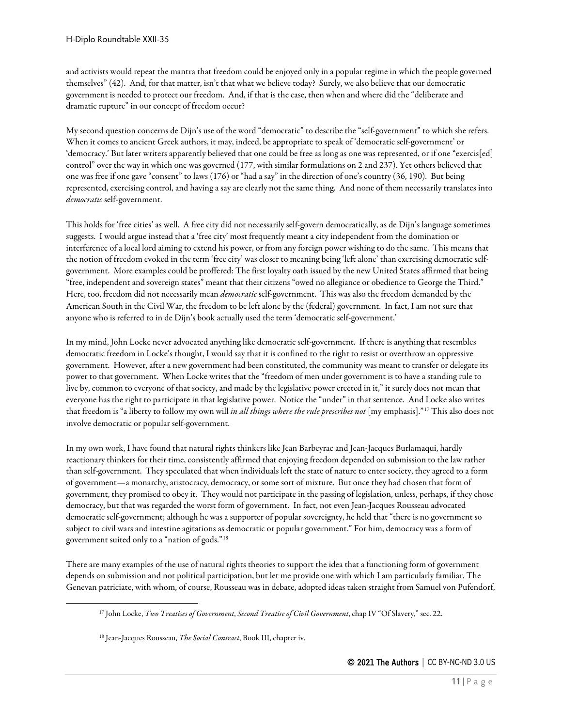and activists would repeat the mantra that freedom could be enjoyed only in a popular regime in which the people governed themselves" (42). And, for that matter, isn't that what we believe today? Surely, we also believe that our democratic government is needed to protect our freedom. And, if that is the case, then when and where did the "deliberate and dramatic rupture" in our concept of freedom occur?

My second question concerns de Dijn's use of the word "democratic" to describe the "self-government" to which she refers. When it comes to ancient Greek authors, it may, indeed, be appropriate to speak of 'democratic self-government' or 'democracy.' But later writers apparently believed that one could be free as long as one was represented, or if one "exercis[ed] control" over the way in which one was governed (177, with similar formulations on 2 and 237). Yet others believed that one was free if one gave "consent" to laws (176) or "had a say" in the direction of one's country (36, 190). But being represented, exercising control, and having a say are clearly not the same thing. And none of them necessarily translates into *democratic* self-government.

This holds for 'free cities' as well. A free city did not necessarily self-govern democratically, as de Dijn's language sometimes suggests. I would argue instead that a 'free city' most frequently meant a city independent from the domination or interference of a local lord aiming to extend his power, or from any foreign power wishing to do the same. This means that the notion of freedom evoked in the term 'free city' was closer to meaning being 'left alone' than exercising democratic selfgovernment. More examples could be proffered: The first loyalty oath issued by the new United States affirmed that being "free, independent and sovereign states" meant that their citizens "owed no allegiance or obedience to George the Third." Here, too, freedom did not necessarily mean *democratic* self-government. This was also the freedom demanded by the American South in the Civil War, the freedom to be left alone by the (federal) government. In fact, I am not sure that anyone who is referred to in de Dijn's book actually used the term 'democratic self-government.'

In my mind, John Locke never advocated anything like democratic self-government. If there is anything that resembles democratic freedom in Locke's thought, I would say that it is confined to the right to resist or overthrow an oppressive government. However, after a new government had been constituted, the community was meant to transfer or delegate its power to that government. When Locke writes that the "freedom of men under government is to have a standing rule to live by, common to everyone of that society, and made by the legislative power erected in it," it surely does not mean that everyone has the right to participate in that legislative power. Notice the "under" in that sentence. And Locke also writes that freedom is "a liberty to follow my own will *in all things where the rule prescribes not* [my emphasis]."[17](#page-10-0) This also does not involve democratic or popular self-government.

In my own work, I have found that natural rights thinkers like Jean Barbeyrac and Jean-Jacques Burlamaqui, hardly reactionary thinkers for their time, consistently affirmed that enjoying freedom depended on submission to the law rather than self-government. They speculated that when individuals left the state of nature to enter society, they agreed to a form of government—a monarchy, aristocracy, democracy, or some sort of mixture. But once they had chosen that form of government, they promised to obey it. They would not participate in the passing of legislation, unless, perhaps, if they chose democracy, but that was regarded the worst form of government. In fact, not even Jean-Jacques Rousseau advocated democratic self-government; although he was a supporter of popular sovereignty, he held that "there is no government so subject to civil wars and intestine agitations as democratic or popular government." For him, democracy was a form of government suited only to a "nation of gods."[18](#page-10-1)

<span id="page-10-1"></span><span id="page-10-0"></span>There are many examples of the use of natural rights theories to support the idea that a functioning form of government depends on submission and not political participation, but let me provide one with which I am particularly familiar. The Genevan patriciate, with whom, of course, Rousseau was in debate, adopted ideas taken straight from Samuel von Pufendorf,

<sup>17</sup> John Locke, *Two Treatises of Government*, *Second Treatise of Civil Government*, chap IV "Of Slavery," sec. 22.

<sup>18</sup> Jean-Jacques Rousseau, *The Social Contract*, Book III, chapter iv.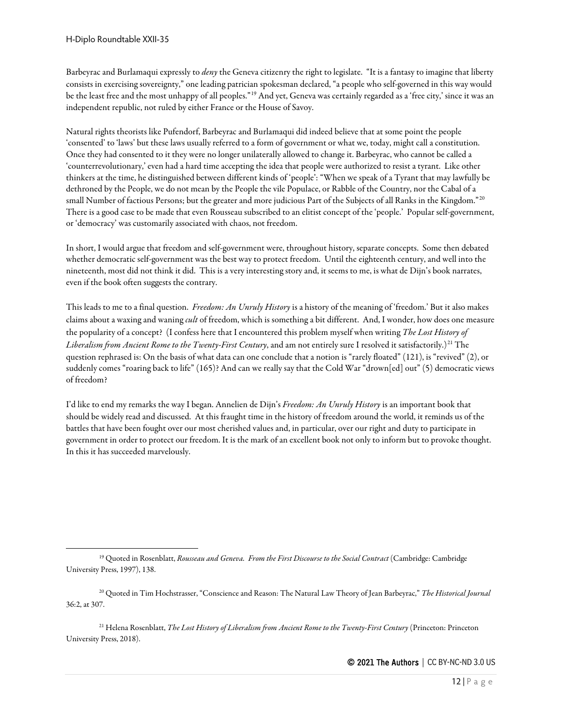Barbeyrac and Burlamaqui expressly to *deny* the Geneva citizenry the right to legislate. "It is a fantasy to imagine that liberty consists in exercising sovereignty," one leading patrician spokesman declared, "a people who self-governed in this way would be the least free and the most unhappy of all peoples."<sup>[19](#page-11-0)</sup> And yet, Geneva was certainly regarded as a 'free city,' since it was an independent republic, not ruled by either France or the House of Savoy.

Natural rights theorists like Pufendorf, Barbeyrac and Burlamaqui did indeed believe that at some point the people 'consented' to 'laws' but these laws usually referred to a form of government or what we, today, might call a constitution. Once they had consented to it they were no longer unilaterally allowed to change it. Barbeyrac, who cannot be called a 'counterrevolutionary,' even had a hard time accepting the idea that people were authorized to resist a tyrant. Like other thinkers at the time, he distinguished between different kinds of 'people': "When we speak of a Tyrant that may lawfully be dethroned by the People, we do not mean by the People the vile Populace, or Rabble of the Country, nor the Cabal of a small Number of factious Persons; but the greater and more judicious Part of the Subjects of all Ranks in the Kingdom."<sup>[20](#page-11-1)</sup> There is a good case to be made that even Rousseau subscribed to an elitist concept of the 'people.' Popular self-government, or 'democracy' was customarily associated with chaos, not freedom.

In short, I would argue that freedom and self-government were, throughout history, separate concepts. Some then debated whether democratic self-government was the best way to protect freedom. Until the eighteenth century, and well into the nineteenth, most did not think it did. This is a very interesting story and, it seems to me, is what de Dijn's book narrates, even if the book often suggests the contrary.

This leads to me to a final question. *Freedom: An Unruly History* is a history of the meaning of 'freedom.' But it also makes claims about a waxing and waning *cult* of freedom, which is something a bit different. And, I wonder, how does one measure the popularity of a concept? (I confess here that I encountered this problem myself when writing *The Lost History of Liberalism from Ancient Rome to the Twenty-First Century*, and am not entirely sure I resolved it satisfactorily.)[21](#page-11-2) The question rephrased is: On the basis of what data can one conclude that a notion is "rarely floated" (121), is "revived" (2), or suddenly comes "roaring back to life" (165)? And can we really say that the Cold War "drown[ed] out" (5) democratic views of freedom?

I'd like to end my remarks the way I began. Annelien de Dijn's *Freedom: An Unruly History* is an important book that should be widely read and discussed. At this fraught time in the history of freedom around the world, it reminds us of the battles that have been fought over our most cherished values and, in particular, over our right and duty to participate in government in order to protect our freedom. It is the mark of an excellent book not only to inform but to provoke thought. In this it has succeeded marvelously.

<span id="page-11-2"></span><sup>21</sup> Helena Rosenblatt, *The Lost History of Liberalism from Ancient Rome to the Twenty-First Century* (Princeton: Princeton University Press, 2018).

<span id="page-11-0"></span><sup>&</sup>lt;sup>19</sup> Quoted in Rosenblatt, *Rousseau and Geneva. From the First Discourse to the Social Contract* (Cambridge: Cambridge University Press, 1997), 138.

<span id="page-11-1"></span><sup>20</sup> Quoted in Tim Hochstrasser, "Conscience and Reason: The Natural Law Theory of Jean Barbeyrac," *The Historical Journal* 36:2, at 307.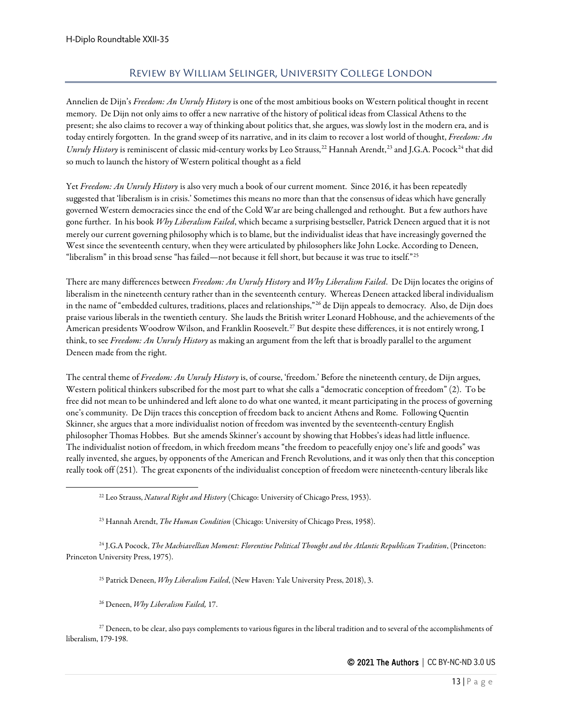## Review by William Selinger, University College London

<span id="page-12-0"></span>Annelien de Dijn's *Freedom: An Unruly History* is one of the most ambitious books on Western political thought in recent memory. De Dijn not only aims to offer a new narrative of the history of political ideas from Classical Athens to the present; she also claims to recover a way of thinking about politics that, she argues, was slowly lost in the modern era, and is today entirely forgotten. In the grand sweep of its narrative, and in its claim to recover a lost world of thought, *Freedom: An Unruly History* is reminiscent of classic mid-century works by Leo Strauss,<sup>[22](#page-12-1)</sup> Hannah Arendt,<sup>[23](#page-12-2)</sup> and J.G.A. Pocock<sup>[24](#page-12-3)</sup> that did so much to launch the history of Western political thought as a field

Yet *Freedom: An Unruly History* is also very much a book of our current moment. Since 2016, it has been repeatedly suggested that 'liberalism is in crisis.' Sometimes this means no more than that the consensus of ideas which have generally governed Western democracies since the end of the Cold War are being challenged and rethought. But a few authors have gone further. In his book *Why Liberalism Failed*, which became a surprising bestseller, Patrick Deneen argued that it is not merely our current governing philosophy which is to blame, but the individualist ideas that have increasingly governed the West since the seventeenth century, when they were articulated by philosophers like John Locke. According to Deneen, "liberalism" in this broad sense "has failed—not because it fell short, but because it was true to itself."[25](#page-12-4)

There are many differences between *Freedom: An Unruly History* and *Why Liberalism Failed*. De Dijn locates the origins of liberalism in the nineteenth century rather than in the seventeenth century. Whereas Deneen attacked liberal individualism in the name of "embedded cultures, traditions, places and relationships,"[26](#page-12-5) de Dijn appeals to democracy. Also, de Dijn does praise various liberals in the twentieth century. She lauds the British writer Leonard Hobhouse, and the achievements of the American presidents Woodrow Wilson, and Franklin Roosevelt.<sup>[27](#page-12-6)</sup> But despite these differences, it is not entirely wrong, I think, to see *Freedom: An Unruly History* as making an argument from the left that is broadly parallel to the argument Deneen made from the right.

The central theme of *Freedom: An Unruly History* is, of course, 'freedom.' Before the nineteenth century, de Dijn argues, Western political thinkers subscribed for the most part to what she calls a "democratic conception of freedom" (2). To be free did not mean to be unhindered and left alone to do what one wanted, it meant participating in the process of governing one's community. De Dijn traces this conception of freedom back to ancient Athens and Rome. Following Quentin Skinner, she argues that a more individualist notion of freedom was invented by the seventeenth-century English philosopher Thomas Hobbes. But she amends Skinner's account by showing that Hobbes's ideas had little influence. The individualist notion of freedom, in which freedom means "the freedom to peacefully enjoy one's life and goods" was really invented, she argues, by opponents of the American and French Revolutions, and it was only then that this conception really took off (251). The great exponents of the individualist conception of freedom were nineteenth-century liberals like

<span id="page-12-4"></span><span id="page-12-3"></span><span id="page-12-2"></span><span id="page-12-1"></span><sup>24</sup> J.G.A Pocock, *The Machiavellian Moment: Florentine Political Thought and the Atlantic Republican Tradition*, (Princeton: Princeton University Press, 1975).

<sup>25</sup> Patrick Deneen, *Why Liberalism Failed*, (New Haven: Yale University Press, 2018), 3.

<sup>26</sup> Deneen, *Why Liberalism Failed,* 17.

<span id="page-12-6"></span><span id="page-12-5"></span> $27$  Deneen, to be clear, also pays complements to various figures in the liberal tradition and to several of the accomplishments of liberalism, 179-198.

<sup>22</sup> Leo Strauss, *Natural Right and History* (Chicago: University of Chicago Press, 1953).

<sup>23</sup> Hannah Arendt, *The Human Condition* (Chicago: University of Chicago Press, 1958).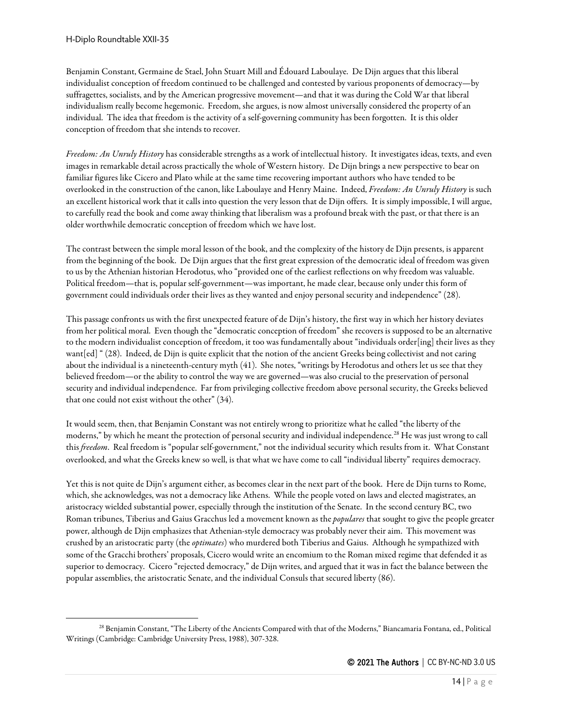Benjamin Constant, Germaine de Stael, John Stuart Mill and Édouard Laboulaye. De Dijn argues that this liberal individualist conception of freedom continued to be challenged and contested by various proponents of democracy—by suffragettes, socialists, and by the American progressive movement—and that it was during the Cold War that liberal individualism really become hegemonic. Freedom, she argues, is now almost universally considered the property of an individual. The idea that freedom is the activity of a self-governing community has been forgotten. It is this older conception of freedom that she intends to recover.

*Freedom: An Unruly History* has considerable strengths as a work of intellectual history. It investigates ideas, texts, and even images in remarkable detail across practically the whole of Western history. De Dijn brings a new perspective to bear on familiar figures like Cicero and Plato while at the same time recovering important authors who have tended to be overlooked in the construction of the canon, like Laboulaye and Henry Maine. Indeed, *Freedom: An Unruly History* is such an excellent historical work that it calls into question the very lesson that de Dijn offers. It is simply impossible, I will argue, to carefully read the book and come away thinking that liberalism was a profound break with the past, or that there is an older worthwhile democratic conception of freedom which we have lost.

The contrast between the simple moral lesson of the book, and the complexity of the history de Dijn presents, is apparent from the beginning of the book. De Dijn argues that the first great expression of the democratic ideal of freedom was given to us by the Athenian historian Herodotus, who "provided one of the earliest reflections on why freedom was valuable. Political freedom—that is, popular self-government—was important, he made clear, because only under this form of government could individuals order their lives as they wanted and enjoy personal security and independence" (28).

This passage confronts us with the first unexpected feature of de Dijn's history, the first way in which her history deviates from her political moral. Even though the "democratic conception of freedom" she recovers is supposed to be an alternative to the modern individualist conception of freedom, it too was fundamentally about "individuals order[ing] their lives as they want[ed] " (28). Indeed, de Dijn is quite explicit that the notion of the ancient Greeks being collectivist and not caring about the individual is a nineteenth-century myth (41). She notes, "writings by Herodotus and others let us see that they believed freedom—or the ability to control the way we are governed—was also crucial to the preservation of personal security and individual independence. Far from privileging collective freedom above personal security, the Greeks believed that one could not exist without the other" (34).

It would seem, then, that Benjamin Constant was not entirely wrong to prioritize what he called "the liberty of the moderns," by which he meant the protection of personal security and individual independence.[28](#page-13-0) He was just wrong to call this *freedom*. Real freedom is "popular self-government," not the individual security which results from it. What Constant overlooked, and what the Greeks knew so well, is that what we have come to call "individual liberty" requires democracy.

Yet this is not quite de Dijn's argument either, as becomes clear in the next part of the book. Here de Dijn turns to Rome, which, she acknowledges, was not a democracy like Athens. While the people voted on laws and elected magistrates, an aristocracy wielded substantial power, especially through the institution of the Senate. In the second century BC, two Roman tribunes, Tiberius and Gaius Gracchus led a movement known as the *populares* that sought to give the people greater power, although de Dijn emphasizes that Athenian-style democracy was probably never their aim. This movement was crushed by an aristocratic party (the *optimates*) who murdered both Tiberius and Gaius. Although he sympathized with some of the Gracchi brothers' proposals, Cicero would write an encomium to the Roman mixed regime that defended it as superior to democracy. Cicero "rejected democracy," de Dijn writes, and argued that it was in fact the balance between the popular assemblies, the aristocratic Senate, and the individual Consuls that secured liberty (86).

<span id="page-13-0"></span><sup>28</sup> Benjamin Constant, "The Liberty of the Ancients Compared with that of the Moderns," Biancamaria Fontana, ed., Political Writings (Cambridge: Cambridge University Press, 1988), 307-328.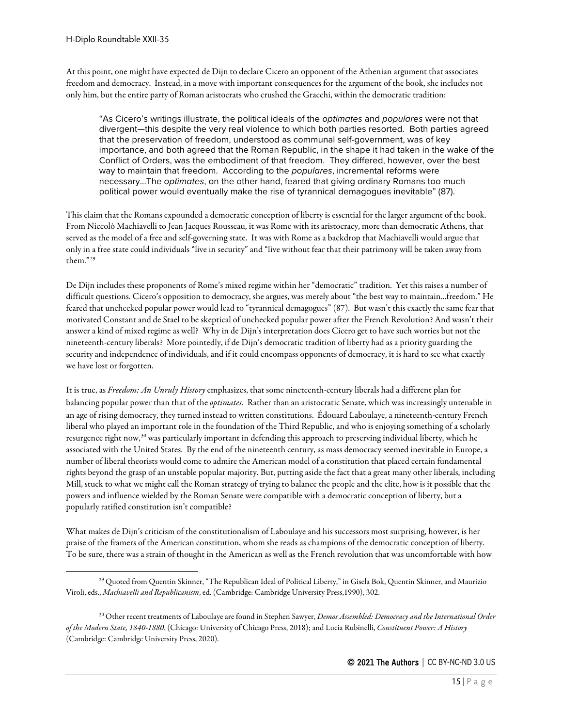At this point, one might have expected de Dijn to declare Cicero an opponent of the Athenian argument that associates freedom and democracy. Instead, in a move with important consequences for the argument of the book, she includes not only him, but the entire party of Roman aristocrats who crushed the Gracchi, within the democratic tradition:

"As Cicero's writings illustrate, the political ideals of the *optimates* and *populares* were not that divergent—this despite the very real violence to which both parties resorted. Both parties agreed that the preservation of freedom, understood as communal self-government, was of key importance, and both agreed that the Roman Republic, in the shape it had taken in the wake of the Conflict of Orders, was the embodiment of that freedom. They differed, however, over the best way to maintain that freedom. According to the *populares*, incremental reforms were necessary...The *optimates*, on the other hand, feared that giving ordinary Romans too much political power would eventually make the rise of tyrannical demagogues inevitable" (87).

This claim that the Romans expounded a democratic conception of liberty is essential for the larger argument of the book. From Niccolò Machiavelli to Jean Jacques Rousseau, it was Rome with its aristocracy, more than democratic Athens, that served as the model of a free and self-governing state. It was with Rome as a backdrop that Machiavelli would argue that only in a free state could individuals "live in security" and "live without fear that their patrimony will be taken away from them."[29](#page-14-0)

De Dijn includes these proponents of Rome's mixed regime within her "democratic" tradition. Yet this raises a number of difficult questions. Cicero's opposition to democracy, she argues, was merely about "the best way to maintain...freedom." He feared that unchecked popular power would lead to "tyrannical demagogues" (87). But wasn't this exactly the same fear that motivated Constant and de Stael to be skeptical of unchecked popular power after the French Revolution? And wasn't their answer a kind of mixed regime as well? Why in de Dijn's interpretation does Cicero get to have such worries but not the nineteenth-century liberals? More pointedly, if de Dijn's democratic tradition of liberty had as a priority guarding the security and independence of individuals, and if it could encompass opponents of democracy, it is hard to see what exactly we have lost or forgotten.

It is true, as *Freedom: An Unruly History* emphasizes, that some nineteenth-century liberals had a different plan for balancing popular power than that of the *optimates*. Rather than an aristocratic Senate, which was increasingly untenable in an age of rising democracy, they turned instead to written constitutions. Édouard Laboulaye, a nineteenth-century French liberal who played an important role in the foundation of the Third Republic, and who is enjoying something of a scholarly resurgence right now,<sup>[30](#page-14-1)</sup> was particularly important in defending this approach to preserving individual liberty, which he associated with the United States. By the end of the nineteenth century, as mass democracy seemed inevitable in Europe, a number of liberal theorists would come to admire the American model of a constitution that placed certain fundamental rights beyond the grasp of an unstable popular majority. But, putting aside the fact that a great many other liberals, including Mill, stuck to what we might call the Roman strategy of trying to balance the people and the elite, how is it possible that the powers and influence wielded by the Roman Senate were compatible with a democratic conception of liberty, but a popularly ratified constitution isn't compatible?

What makes de Dijn's criticism of the constitutionalism of Laboulaye and his successors most surprising, however, is her praise of the framers of the American constitution, whom she reads as champions of the democratic conception of liberty. To be sure, there was a strain of thought in the American as well as the French revolution that was uncomfortable with how

<span id="page-14-0"></span><sup>29</sup> Quoted from Quentin Skinner, "The Republican Ideal of Political Liberty," in Gisela Bok, Quentin Skinner, and Maurizio Viroli, eds., *Machiavelli and Republicanism*, ed. (Cambridge: Cambridge University Press,1990), 302.

<span id="page-14-1"></span><sup>30</sup> Other recent treatments of Laboulaye are found in Stephen Sawyer, *Demos Assembled: Democracy and the International Order of the Modern State, 1840-1880*, (Chicago: University of Chicago Press, 2018); and Lucia Rubinelli, *Constituent Power: A History* (Cambridge: Cambridge University Press, 2020).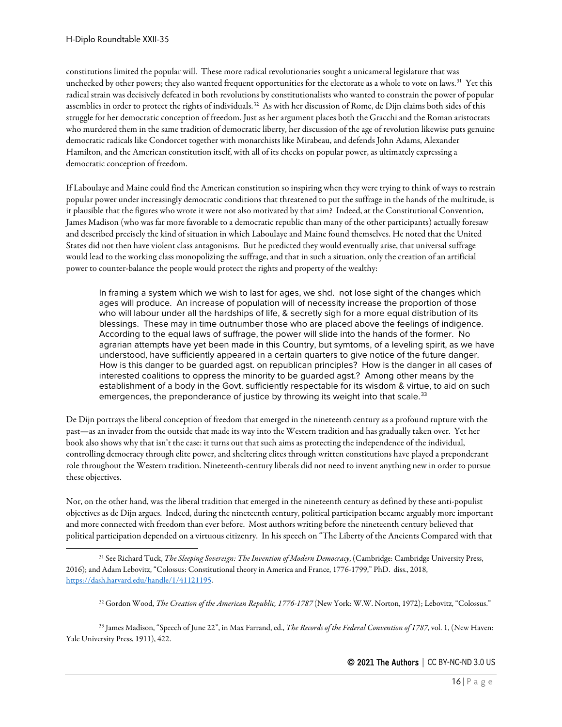constitutions limited the popular will. These more radical revolutionaries sought a unicameral legislature that was unchecked by other powers; they also wanted frequent opportunities for the electorate as a whole to vote on laws.<sup>[31](#page-15-0)</sup> Yet this radical strain was decisively defeated in both revolutions by constitutionalists who wanted to constrain the power of popular assemblies in order to protect the rights of individuals.<sup>[32](#page-15-1)</sup> As with her discussion of Rome, de Dijn claims both sides of this struggle for her democratic conception of freedom. Just as her argument places both the Gracchi and the Roman aristocrats who murdered them in the same tradition of democratic liberty, her discussion of the age of revolution likewise puts genuine democratic radicals like Condorcet together with monarchists like Mirabeau, and defends John Adams, Alexander Hamilton, and the American constitution itself, with all of its checks on popular power, as ultimately expressing a democratic conception of freedom.

If Laboulaye and Maine could find the American constitution so inspiring when they were trying to think of ways to restrain popular power under increasingly democratic conditions that threatened to put the suffrage in the hands of the multitude, is it plausible that the figures who wrote it were not also motivated by that aim? Indeed, at the Constitutional Convention, James Madison (who was far more favorable to a democratic republic than many of the other participants) actually foresaw and described precisely the kind of situation in which Laboulaye and Maine found themselves. He noted that the United States did not then have violent class antagonisms. But he predicted they would eventually arise, that universal suffrage would lead to the working class monopolizing the suffrage, and that in such a situation, only the creation of an artificial power to counter-balance the people would protect the rights and property of the wealthy:

In framing a system which we wish to last for ages, we shd. not lose sight of the changes which ages will produce. An increase of population will of necessity increase the proportion of those who will labour under all the hardships of life, & secretly sigh for a more equal distribution of its blessings. These may in time outnumber those who are placed above the feelings of indigence. According to the equal laws of suffrage, the power will slide into the hands of the former. No agrarian attempts have yet been made in this Country, but symtoms, of a leveling spirit, as we have understood, have sufficiently appeared in a certain quarters to give notice of the future danger. How is this danger to be guarded agst. on republican principles? How is the danger in all cases of interested coalitions to oppress the minority to be guarded agst.? Among other means by the establishment of a body in the Govt. sufficiently respectable for its wisdom & virtue, to aid on such emergences, the preponderance of justice by throwing its weight into that scale.<sup>[33](#page-15-2)</sup>

De Dijn portrays the liberal conception of freedom that emerged in the nineteenth century as a profound rupture with the past—as an invader from the outside that made its way into the Western tradition and has gradually taken over. Yet her book also shows why that isn't the case: it turns out that such aims as protecting the independence of the individual, controlling democracy through elite power, and sheltering elites through written constitutions have played a preponderant role throughout the Western tradition. Nineteenth-century liberals did not need to invent anything new in order to pursue these objectives.

Nor, on the other hand, was the liberal tradition that emerged in the nineteenth century as defined by these anti-populist objectives as de Dijn argues. Indeed, during the nineteenth century, political participation became arguably more important and more connected with freedom than ever before. Most authors writing before the nineteenth century believed that political participation depended on a virtuous citizenry. In his speech on "The Liberty of the Ancients Compared with that

<span id="page-15-2"></span><span id="page-15-1"></span><sup>33</sup> James Madison, "Speech of June 22", in Max Farrand, ed., *The Records of the Federal Convention of 1787*, vol. 1, (New Haven: Yale University Press, 1911), 422.

<span id="page-15-0"></span><sup>31</sup> See Richard Tuck, *The Sleeping Sovereign: The Invention of Modern Democracy*, (Cambridge: Cambridge University Press, 2016); and Adam Lebovitz, "Colossus: Constitutional theory in America and France, 1776-1799," PhD. diss., 2018, [https://dash.harvard.edu/handle/1/41121195.](https://dash.harvard.edu/handle/1/41121195)

<sup>32</sup> Gordon Wood, *The Creation of the American Republic, 1776-1787* (New York: W.W. Norton, 1972); Lebovitz, "Colossus."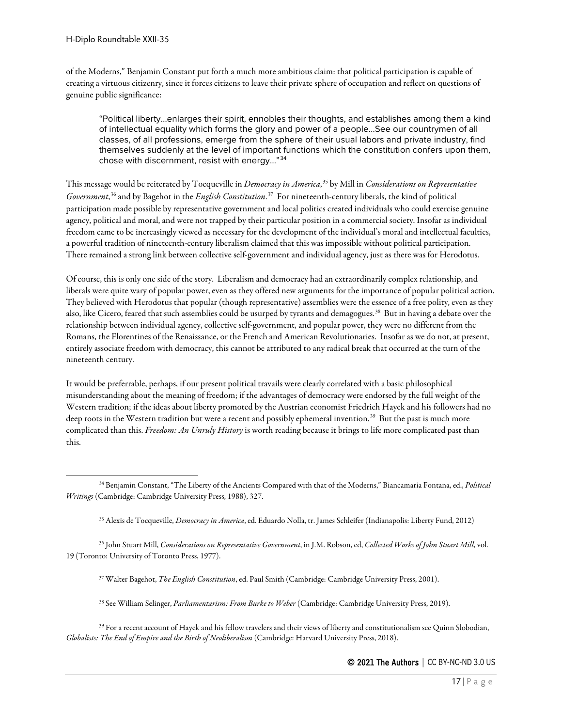of the Moderns," Benjamin Constant put forth a much more ambitious claim: that political participation is capable of creating a virtuous citizenry, since it forces citizens to leave their private sphere of occupation and reflect on questions of genuine public significance:

"Political liberty…enlarges their spirit, ennobles their thoughts, and establishes among them a kind of intellectual equality which forms the glory and power of a people…See our countrymen of all classes, of all professions, emerge from the sphere of their usual labors and private industry, find themselves suddenly at the level of important functions which the constitution confers upon them, chose with discernment, resist with energy…"[34](#page-16-0)

This message would be reiterated by Tocqueville in *Democracy in America*, [35](#page-16-1) by Mill in *Considerations on Representative Government*, [36](#page-16-2) and by Bagehot in the *English Constitution*. [37](#page-16-3) For nineteenth-century liberals, the kind of political participation made possible by representative government and local politics created individuals who could exercise genuine agency, political and moral, and were not trapped by their particular position in a commercial society. Insofar as individual freedom came to be increasingly viewed as necessary for the development of the individual's moral and intellectual faculties, a powerful tradition of nineteenth-century liberalism claimed that this was impossible without political participation. There remained a strong link between collective self-government and individual agency, just as there was for Herodotus.

Of course, this is only one side of the story. Liberalism and democracy had an extraordinarily complex relationship, and liberals were quite wary of popular power, even as they offered new arguments for the importance of popular political action. They believed with Herodotus that popular (though representative) assemblies were the essence of a free polity, even as they also, like Cicero, feared that such assemblies could be usurped by tyrants and demagogues.[38](#page-16-4) But in having a debate over the relationship between individual agency, collective self-government, and popular power, they were no different from the Romans, the Florentines of the Renaissance, or the French and American Revolutionaries. Insofar as we do not, at present, entirely associate freedom with democracy, this cannot be attributed to any radical break that occurred at the turn of the nineteenth century.

It would be preferrable, perhaps, if our present political travails were clearly correlated with a basic philosophical misunderstanding about the meaning of freedom; if the advantages of democracy were endorsed by the full weight of the Western tradition; if the ideas about liberty promoted by the Austrian economist Friedrich Hayek and his followers had no deep roots in the Western tradition but were a recent and possibly ephemeral invention.<sup>[39](#page-16-5)</sup> But the past is much more complicated than this. *Freedom: An Unruly History* is worth reading because it brings to life more complicated past than this.

- <sup>37</sup> Walter Bagehot, *The English Constitution*, ed. Paul Smith (Cambridge: Cambridge University Press, 2001).
- <sup>38</sup> See William Selinger, *Parliamentarism: From Burke to Weber* (Cambridge: Cambridge University Press, 2019).

<span id="page-16-0"></span><sup>34</sup> Benjamin Constant, "The Liberty of the Ancients Compared with that of the Moderns," Biancamaria Fontana, ed., *Political Writings* (Cambridge: Cambridge University Press, 1988), 327.

<sup>35</sup> Alexis de Tocqueville, *Democracy in America*, ed. Eduardo Nolla, tr. James Schleifer (Indianapolis: Liberty Fund, 2012)

<span id="page-16-3"></span><span id="page-16-2"></span><span id="page-16-1"></span><sup>36</sup> John Stuart Mill, *Considerations on Representative Government*, in J.M. Robson, ed, *Collected Works of John Stuart Mill*, vol. 19 (Toronto: University of Toronto Press, 1977).

<span id="page-16-5"></span><span id="page-16-4"></span><sup>39</sup> For a recent account of Hayek and his fellow travelers and their views of liberty and constitutionalism see Quinn Slobodian, *Globalists: The End of Empire and the Birth of Neoliberalism* (Cambridge: Harvard University Press, 2018).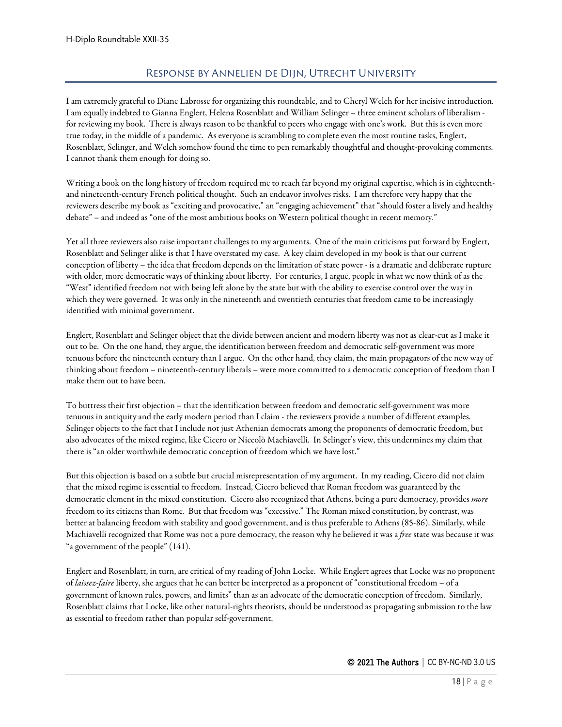#### Response by Annelien de Dijn, Utrecht University

<span id="page-17-0"></span>I am extremely grateful to Diane Labrosse for organizing this roundtable, and to Cheryl Welch for her incisive introduction. I am equally indebted to Gianna Englert, Helena Rosenblatt and William Selinger – three eminent scholars of liberalism for reviewing my book. There is always reason to be thankful to peers who engage with one's work. But this is even more true today, in the middle of a pandemic. As everyone is scrambling to complete even the most routine tasks, Englert, Rosenblatt, Selinger, and Welch somehow found the time to pen remarkably thoughtful and thought-provoking comments. I cannot thank them enough for doing so.

Writing a book on the long history of freedom required me to reach far beyond my original expertise, which is in eighteenthand nineteenth-century French political thought. Such an endeavor involves risks. I am therefore very happy that the reviewers describe my book as "exciting and provocative," an "engaging achievement" that "should foster a lively and healthy debate" – and indeed as "one of the most ambitious books on Western political thought in recent memory."

Yet all three reviewers also raise important challenges to my arguments. One of the main criticisms put forward by Englert, Rosenblatt and Selinger alike is that I have overstated my case. A key claim developed in my book is that our current conception of liberty – the idea that freedom depends on the limitation of state power - is a dramatic and deliberate rupture with older, more democratic ways of thinking about liberty. For centuries, I argue, people in what we now think of as the "West" identified freedom not with being left alone by the state but with the ability to exercise control over the way in which they were governed. It was only in the nineteenth and twentieth centuries that freedom came to be increasingly identified with minimal government.

Englert, Rosenblatt and Selinger object that the divide between ancient and modern liberty was not as clear-cut as I make it out to be. On the one hand, they argue, the identification between freedom and democratic self-government was more tenuous before the nineteenth century than I argue. On the other hand, they claim, the main propagators of the new way of thinking about freedom – nineteenth-century liberals – were more committed to a democratic conception of freedom than I make them out to have been.

To buttress their first objection – that the identification between freedom and democratic self-government was more tenuous in antiquity and the early modern period than I claim - the reviewers provide a number of different examples. Selinger objects to the fact that I include not just Athenian democrats among the proponents of democratic freedom, but also advocates of the mixed regime, like Cicero or Niccolò Machiavelli. In Selinger's view, this undermines my claim that there is "an older worthwhile democratic conception of freedom which we have lost."

But this objection is based on a subtle but crucial misrepresentation of my argument. In my reading, Cicero did not claim that the mixed regime is essential to freedom. Instead, Cicero believed that Roman freedom was guaranteed by the democratic element in the mixed constitution. Cicero also recognized that Athens, being a pure democracy, provides *more* freedom to its citizens than Rome. But that freedom was "excessive." The Roman mixed constitution, by contrast, was better at balancing freedom with stability and good government, and is thus preferable to Athens (85-86). Similarly, while Machiavelli recognized that Rome was not a pure democracy, the reason why he believed it was a *free* state was because it was "a government of the people" (141).

Englert and Rosenblatt, in turn, are critical of my reading of John Locke. While Englert agrees that Locke was no proponent of *laissez-faire* liberty, she argues that he can better be interpreted as a proponent of "constitutional freedom – of a government of known rules, powers, and limits" than as an advocate of the democratic conception of freedom. Similarly, Rosenblatt claims that Locke, like other natural-rights theorists, should be understood as propagating submission to the law as essential to freedom rather than popular self-government.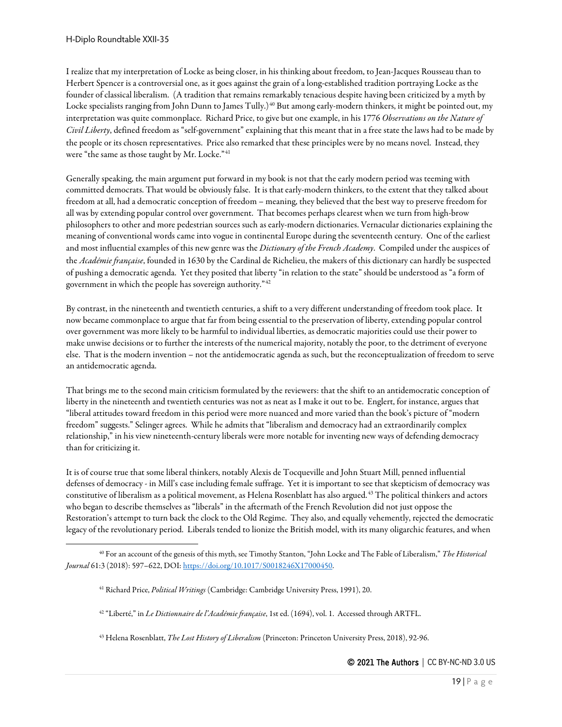I realize that my interpretation of Locke as being closer, in his thinking about freedom, to Jean-Jacques Rousseau than to Herbert Spencer is a controversial one, as it goes against the grain of a long-established tradition portraying Locke as the founder of classical liberalism. (A tradition that remains remarkably tenacious despite having been criticized by a myth by Locke specialists ranging from John Dunn to James Tully.)<sup>[40](#page-18-0)</sup> But among early-modern thinkers, it might be pointed out, my interpretation was quite commonplace. Richard Price, to give but one example, in his 1776 *Observations on the Nature of Civil Liberty*, defined freedom as "self-government" explaining that this meant that in a free state the laws had to be made by the people or its chosen representatives. Price also remarked that these principles were by no means novel. Instead, they were "the same as those taught by Mr. Locke." <sup>[41](#page-18-1)</sup>

Generally speaking, the main argument put forward in my book is not that the early modern period was teeming with committed democrats. That would be obviously false. It is that early-modern thinkers, to the extent that they talked about freedom at all, had a democratic conception of freedom – meaning, they believed that the best way to preserve freedom for all was by extending popular control over government. That becomes perhaps clearest when we turn from high-brow philosophers to other and more pedestrian sources such as early-modern dictionaries. Vernacular dictionaries explaining the meaning of conventional words came into vogue in continental Europe during the seventeenth century. One of the earliest and most influential examples of this new genre was the *Dictionary of the French Academy*. Compiled under the auspices of the *Académie française*, founded in 1630 by the Cardinal de Richelieu, the makers of this dictionary can hardly be suspected of pushing a democratic agenda. Yet they posited that liberty "in relation to the state" should be understood as "a form of government in which the people has sovereign authority."[42](#page-18-2)

By contrast, in the nineteenth and twentieth centuries, a shift to a very different understanding of freedom took place. It now became commonplace to argue that far from being essential to the preservation of liberty, extending popular control over government was more likely to be harmful to individual liberties, as democratic majorities could use their power to make unwise decisions or to further the interests of the numerical majority, notably the poor, to the detriment of everyone else. That is the modern invention – not the antidemocratic agenda as such, but the reconceptualization of freedom to serve an antidemocratic agenda.

That brings me to the second main criticism formulated by the reviewers: that the shift to an antidemocratic conception of liberty in the nineteenth and twentieth centuries was not as neat as I make it out to be. Englert, for instance, argues that "liberal attitudes toward freedom in this period were more nuanced and more varied than the book's picture of "modern freedom" suggests." Selinger agrees. While he admits that "liberalism and democracy had an extraordinarily complex relationship," in his view nineteenth-century liberals were more notable for inventing new ways of defending democracy than for criticizing it.

It is of course true that some liberal thinkers, notably Alexis de Tocqueville and John Stuart Mill, penned influential defenses of democracy - in Mill's case including female suffrage. Yet it is important to see that skepticism of democracy was constitutive of liberalism as a political movement, as Helena Rosenblatt has also argued.[43](#page-18-3) The political thinkers and actors who began to describe themselves as "liberals" in the aftermath of the French Revolution did not just oppose the Restoration's attempt to turn back the clock to the Old Regime. They also, and equally vehemently, rejected the democratic legacy of the revolutionary period. Liberals tended to lionize the British model, with its many oligarchic features, and when

<span id="page-18-2"></span><span id="page-18-1"></span><span id="page-18-0"></span><sup>40</sup> For an account of the genesis of this myth, see Timothy Stanton, "John Locke and The Fable of Liberalism," *The Historical Journal* 61:3 (2018): 597–622, DOI[: https://doi.org/10.1017/S0018246X17000450.](https://doi.org/10.1017/S0018246X17000450)

<sup>41</sup> Richard Price, *Political Writings* (Cambridge: Cambridge University Press, 1991), 20.

<sup>42</sup> "Liberté," in *Le Dictionnaire de l'Académie française*, 1st ed. (1694), vol. 1. Accessed through ARTFL.

<span id="page-18-3"></span><sup>43</sup> Helena Rosenblatt, *The Lost History of Liberalism* (Princeton: Princeton University Press, 2018), 92-96.